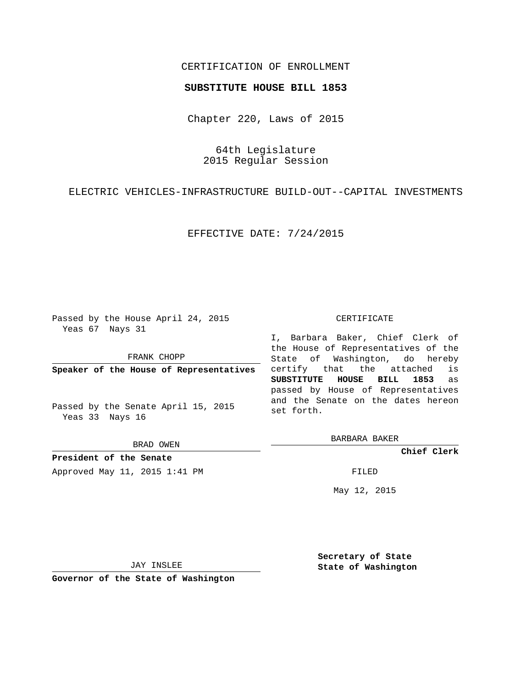# CERTIFICATION OF ENROLLMENT

### **SUBSTITUTE HOUSE BILL 1853**

Chapter 220, Laws of 2015

64th Legislature 2015 Regular Session

ELECTRIC VEHICLES-INFRASTRUCTURE BUILD-OUT--CAPITAL INVESTMENTS

EFFECTIVE DATE: 7/24/2015

Passed by the House April 24, 2015 Yeas 67 Nays 31

FRANK CHOPP

**Speaker of the House of Representatives**

Passed by the Senate April 15, 2015 Yeas 33 Nays 16

BRAD OWEN

**President of the Senate** Approved May 11, 2015 1:41 PM FILED

#### CERTIFICATE

I, Barbara Baker, Chief Clerk of the House of Representatives of the State of Washington, do hereby certify that the attached is **SUBSTITUTE HOUSE BILL 1853** as passed by House of Representatives and the Senate on the dates hereon set forth.

BARBARA BAKER

**Chief Clerk**

May 12, 2015

JAY INSLEE

**Governor of the State of Washington**

**Secretary of State State of Washington**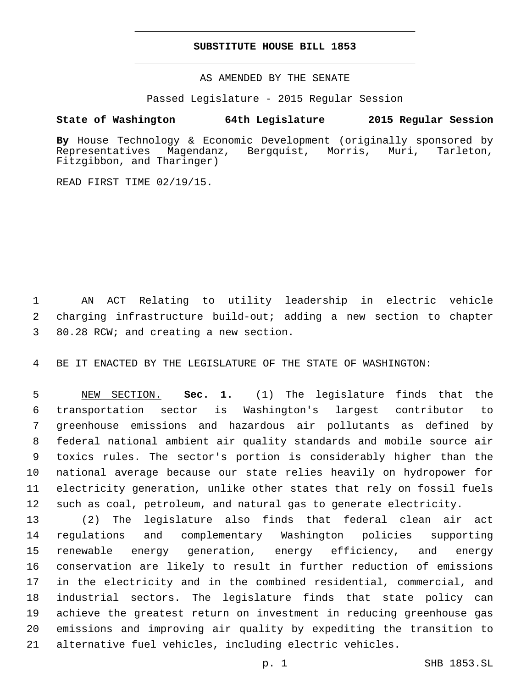## **SUBSTITUTE HOUSE BILL 1853**

AS AMENDED BY THE SENATE

Passed Legislature - 2015 Regular Session

# **State of Washington 64th Legislature 2015 Regular Session**

**By** House Technology & Economic Development (originally sponsored by Representatives Magendanz, Bergquist, Morris, Muri, Tarleton, Fitzgibbon, and Tharinger)

READ FIRST TIME 02/19/15.

 AN ACT Relating to utility leadership in electric vehicle charging infrastructure build-out; adding a new section to chapter 80.28 RCW; and creating a new section.3

BE IT ENACTED BY THE LEGISLATURE OF THE STATE OF WASHINGTON:

 NEW SECTION. **Sec. 1.** (1) The legislature finds that the transportation sector is Washington's largest contributor to greenhouse emissions and hazardous air pollutants as defined by federal national ambient air quality standards and mobile source air toxics rules. The sector's portion is considerably higher than the national average because our state relies heavily on hydropower for electricity generation, unlike other states that rely on fossil fuels such as coal, petroleum, and natural gas to generate electricity.

 (2) The legislature also finds that federal clean air act regulations and complementary Washington policies supporting renewable energy generation, energy efficiency, and energy conservation are likely to result in further reduction of emissions in the electricity and in the combined residential, commercial, and industrial sectors. The legislature finds that state policy can achieve the greatest return on investment in reducing greenhouse gas emissions and improving air quality by expediting the transition to alternative fuel vehicles, including electric vehicles.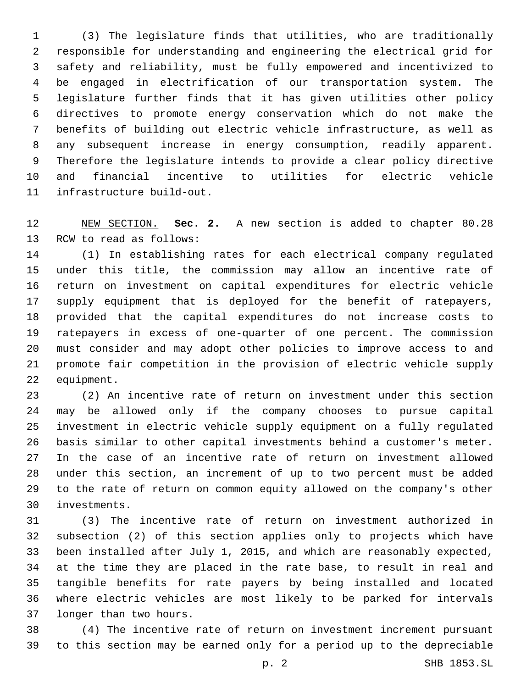(3) The legislature finds that utilities, who are traditionally responsible for understanding and engineering the electrical grid for safety and reliability, must be fully empowered and incentivized to be engaged in electrification of our transportation system. The legislature further finds that it has given utilities other policy directives to promote energy conservation which do not make the benefits of building out electric vehicle infrastructure, as well as any subsequent increase in energy consumption, readily apparent. Therefore the legislature intends to provide a clear policy directive and financial incentive to utilities for electric vehicle 11 infrastructure build-out.

 NEW SECTION. **Sec. 2.** A new section is added to chapter 80.28 13 RCW to read as follows:

 (1) In establishing rates for each electrical company regulated under this title, the commission may allow an incentive rate of return on investment on capital expenditures for electric vehicle supply equipment that is deployed for the benefit of ratepayers, provided that the capital expenditures do not increase costs to ratepayers in excess of one-quarter of one percent. The commission must consider and may adopt other policies to improve access to and promote fair competition in the provision of electric vehicle supply 22 equipment.

 (2) An incentive rate of return on investment under this section may be allowed only if the company chooses to pursue capital investment in electric vehicle supply equipment on a fully regulated basis similar to other capital investments behind a customer's meter. In the case of an incentive rate of return on investment allowed under this section, an increment of up to two percent must be added to the rate of return on common equity allowed on the company's other investments.30

 (3) The incentive rate of return on investment authorized in subsection (2) of this section applies only to projects which have been installed after July 1, 2015, and which are reasonably expected, at the time they are placed in the rate base, to result in real and tangible benefits for rate payers by being installed and located where electric vehicles are most likely to be parked for intervals 37 longer than two hours.

 (4) The incentive rate of return on investment increment pursuant to this section may be earned only for a period up to the depreciable

p. 2 SHB 1853.SL